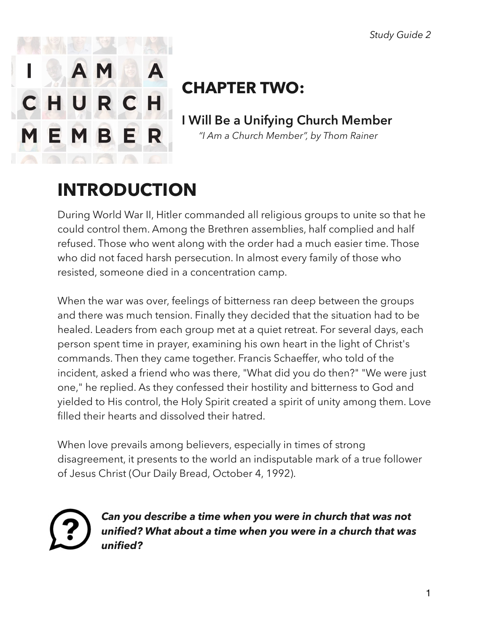

## **CHAPTER TWO:**

**I Will Be a Unifying Church Member**   *"I Am a Church Member", by Thom Rainer* 

## **INTRODUCTION**

During World War II, Hitler commanded all religious groups to unite so that he could control them. Among the Brethren assemblies, half complied and half refused. Those who went along with the order had a much easier time. Those who did not faced harsh persecution. In almost every family of those who resisted, someone died in a concentration camp.

When the war was over, feelings of bitterness ran deep between the groups and there was much tension. Finally they decided that the situation had to be healed. Leaders from each group met at a quiet retreat. For several days, each person spent time in prayer, examining his own heart in the light of Christ's commands. Then they came together. Francis Schaeffer, who told of the incident, asked a friend who was there, "What did you do then?" "We were just one," he replied. As they confessed their hostility and bitterness to God and yielded to His control, the Holy Spirit created a spirit of unity among them. Love filled their hearts and dissolved their hatred.

When love prevails among believers, especially in times of strong disagreement, it presents to the world an indisputable mark of a true follower of Jesus Christ (Our Daily Bread, October 4, 1992).



*Can you describe a time when you were in church that was not unified? What about a time when you were in a church that was unified?*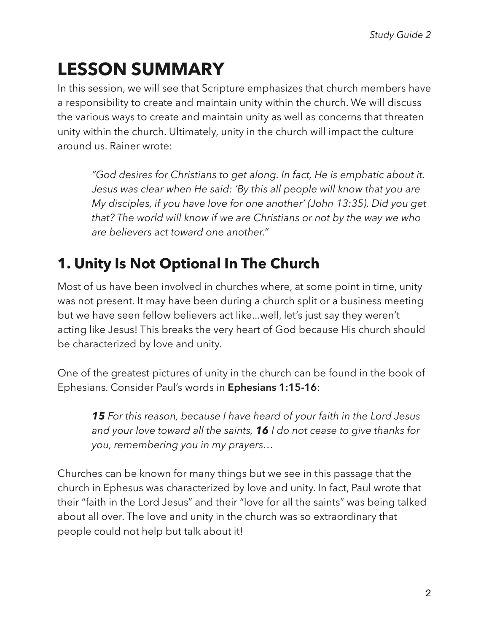# **LESSON SUMMARY**

In this session, we will see that Scripture emphasizes that church members have a responsibility to create and maintain unity within the church. We will discuss the various ways to create and maintain unity as well as concerns that threaten unity within the church. Ultimately, unity in the church will impact the culture around us. Rainer wrote:

*"God desires for Christians to get along. In fact, He is emphatic about it. Jesus was clear when He said: 'By this all people will know that you are My disciples, if you have love for one another' (John 13:35). Did you get that? The world will know if we are Christians or not by the way we who are believers act toward one another."* 

### **1. Unity Is Not Optional In The Church**

Most of us have been involved in churches where, at some point in time, unity was not present. It may have been during a church split or a business meeting but we have seen fellow believers act like...well, let's just say they weren't acting like Jesus! This breaks the very heart of God because His church should be characterized by love and unity.

One of the greatest pictures of unity in the church can be found in the book of Ephesians. Consider Paul's words in **Ephesians 1:15-16**:

*15 For this reason, because I have heard of your faith in the Lord Jesus and your love toward all the saints, 16 I do not cease to give thanks for you, remembering you in my prayers…* 

Churches can be known for many things but we see in this passage that the church in Ephesus was characterized by love and unity. In fact, Paul wrote that their "faith in the Lord Jesus" and their "love for all the saints" was being talked about all over. The love and unity in the church was so extraordinary that people could not help but talk about it!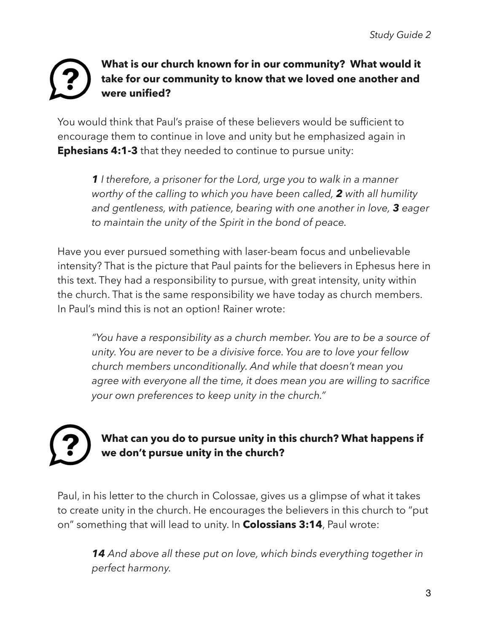### **What is our church known for in our community? What would it take for our community to know that we loved one another and were unified?**

You would think that Paul's praise of these believers would be sufficient to encourage them to continue in love and unity but he emphasized again in **Ephesians 4:1-3** that they needed to continue to pursue unity:

*1 I therefore, a prisoner for the Lord, urge you to walk in a manner worthy of the calling to which you have been called, 2 with all humility and gentleness, with patience, bearing with one another in love, 3 eager to maintain the unity of the Spirit in the bond of peace.* 

Have you ever pursued something with laser-beam focus and unbelievable intensity? That is the picture that Paul paints for the believers in Ephesus here in this text. They had a responsibility to pursue, with great intensity, unity within the church. That is the same responsibility we have today as church members. In Paul's mind this is not an option! Rainer wrote:

*"You have a responsibility as a church member. You are to be a source of unity. You are never to be a divisive force. You are to love your fellow church members unconditionally. And while that doesn't mean you agree with everyone all the time, it does mean you are willing to sacrifice your own preferences to keep unity in the church."*



#### **What can you do to pursue unity in this church? What happens if we don't pursue unity in the church?**

Paul, in his letter to the church in Colossae, gives us a glimpse of what it takes to create unity in the church. He encourages the believers in this church to "put on" something that will lead to unity. In **Colossians 3:14**, Paul wrote:

*14 And above all these put on love, which binds everything together in perfect harmony.*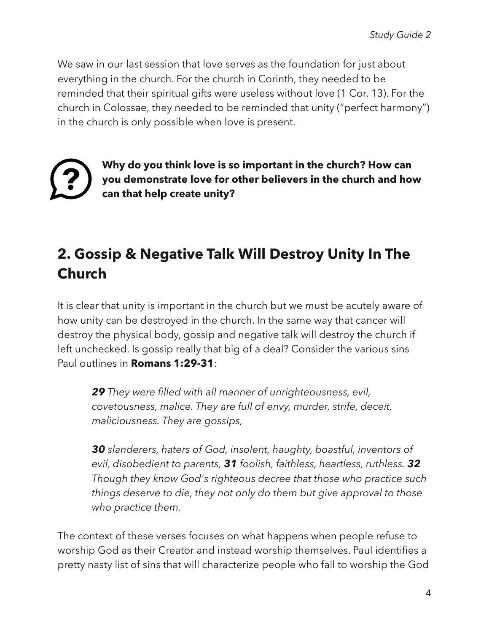We saw in our last session that love serves as the foundation for just about everything in the church. For the church in Corinth, they needed to be reminded that their spiritual gifts were useless without love (1 Cor. 13). For the church in Colossae, they needed to be reminded that unity ("perfect harmony") in the church is only possible when love is present.



**Why do you think love is so important in the church? How can you demonstrate love for other believers in the church and how can that help create unity?** 

### **2. Gossip & Negative Talk Will Destroy Unity In The Church**

It is clear that unity is important in the church but we must be acutely aware of how unity can be destroyed in the church. In the same way that cancer will destroy the physical body, gossip and negative talk will destroy the church if left unchecked. Is gossip really that big of a deal? Consider the various sins Paul outlines in **Romans 1:29-31**:

*29 They were filled with all manner of unrighteousness, evil, covetousness, malice. They are full of envy, murder, strife, deceit, maliciousness. They are gossips,* 

*30 slanderers, haters of God, insolent, haughty, boastful, inventors of evil, disobedient to parents, 31 foolish, faithless, heartless, ruthless. 32 Though they know God's righteous decree that those who practice such things deserve to die, they not only do them but give approval to those who practice them.* 

The context of these verses focuses on what happens when people refuse to worship God as their Creator and instead worship themselves. Paul identifies a pretty nasty list of sins that will characterize people who fail to worship the God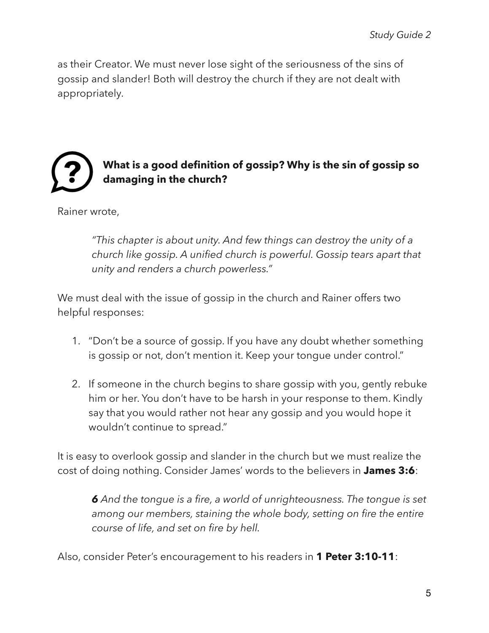as their Creator. We must never lose sight of the seriousness of the sins of gossip and slander! Both will destroy the church if they are not dealt with appropriately.



#### **What is a good definition of gossip? Why is the sin of gossip so damaging in the church?**

Rainer wrote,

*"This chapter is about unity. And few things can destroy the unity of a church like gossip. A unified church is powerful. Gossip tears apart that unity and renders a church powerless."* 

We must deal with the issue of gossip in the church and Rainer offers two helpful responses:

- 1. "Don't be a source of gossip. If you have any doubt whether something is gossip or not, don't mention it. Keep your tongue under control."
- 2. If someone in the church begins to share gossip with you, gently rebuke him or her. You don't have to be harsh in your response to them. Kindly say that you would rather not hear any gossip and you would hope it wouldn't continue to spread."

It is easy to overlook gossip and slander in the church but we must realize the cost of doing nothing. Consider James' words to the believers in **James 3:6**:

*6 And the tongue is a fire, a world of unrighteousness. The tongue is set among our members, staining the whole body, setting on fire the entire course of life, and set on fire by hell.* 

Also, consider Peter's encouragement to his readers in **1 Peter 3:10-11**: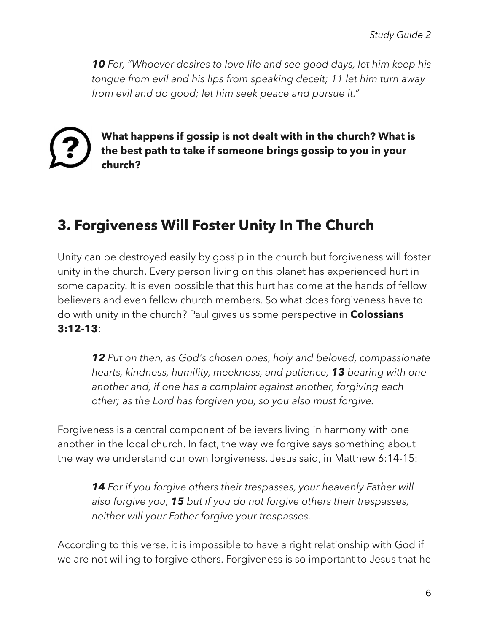*10 For, "Whoever desires to love life and see good days, let him keep his tongue from evil and his lips from speaking deceit; 11 let him turn away from evil and do good; let him seek peace and pursue it."* 



**What happens if gossip is not dealt with in the church? What is the best path to take if someone brings gossip to you in your church?** 

### **3. Forgiveness Will Foster Unity In The Church**

Unity can be destroyed easily by gossip in the church but forgiveness will foster unity in the church. Every person living on this planet has experienced hurt in some capacity. It is even possible that this hurt has come at the hands of fellow believers and even fellow church members. So what does forgiveness have to do with unity in the church? Paul gives us some perspective in **Colossians 3:12-13**:

*12 Put on then, as God's chosen ones, holy and beloved, compassionate hearts, kindness, humility, meekness, and patience, 13 bearing with one another and, if one has a complaint against another, forgiving each other; as the Lord has forgiven you, so you also must forgive.* 

Forgiveness is a central component of believers living in harmony with one another in the local church. In fact, the way we forgive says something about the way we understand our own forgiveness. Jesus said, in Matthew 6:14-15:

*14 For if you forgive others their trespasses, your heavenly Father will also forgive you, 15 but if you do not forgive others their trespasses, neither will your Father forgive your trespasses.* 

According to this verse, it is impossible to have a right relationship with God if we are not willing to forgive others. Forgiveness is so important to Jesus that he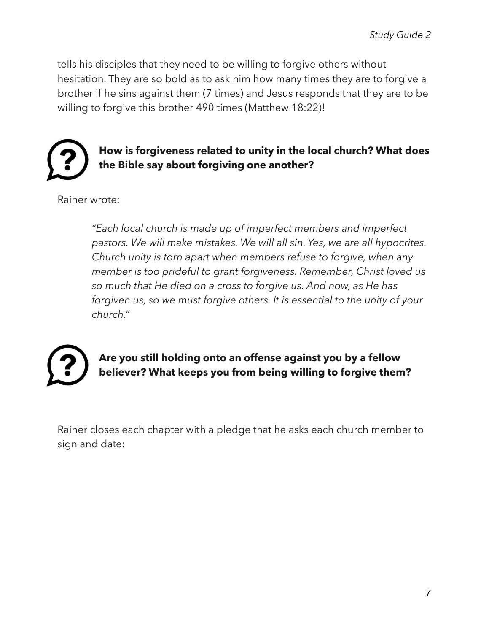tells his disciples that they need to be willing to forgive others without hesitation. They are so bold as to ask him how many times they are to forgive a brother if he sins against them (7 times) and Jesus responds that they are to be willing to forgive this brother 490 times (Matthew 18:22)!



**How is forgiveness related to unity in the local church? What does the Bible say about forgiving one another?** 

Rainer wrote:

*"Each local church is made up of imperfect members and imperfect pastors. We will make mistakes. We will all sin. Yes, we are all hypocrites. Church unity is torn apart when members refuse to forgive, when any member is too prideful to grant forgiveness. Remember, Christ loved us so much that He died on a cross to forgive us. And now, as He has forgiven us, so we must forgive others. It is essential to the unity of your church."* 



**Are you still holding onto an offense against you by a fellow believer? What keeps you from being willing to forgive them?** 

Rainer closes each chapter with a pledge that he asks each church member to sign and date: